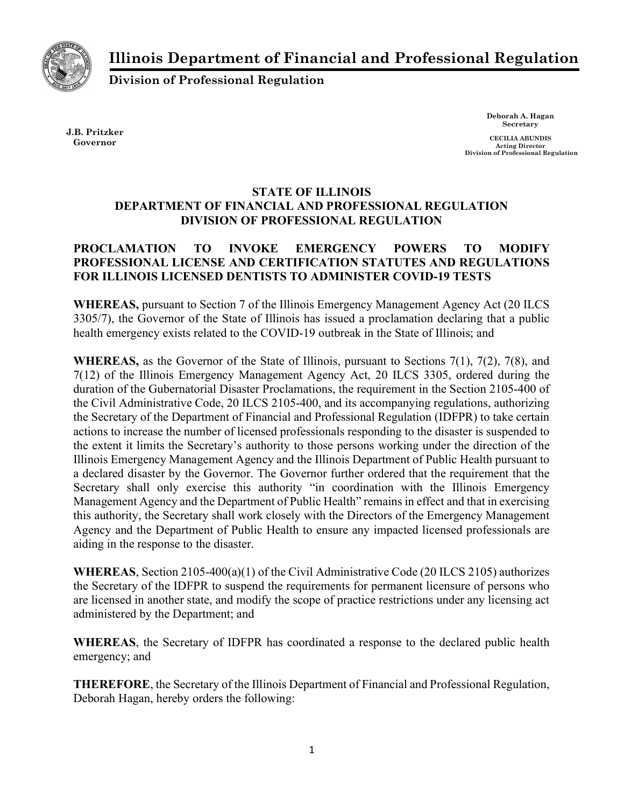Illinois Department of Financial and Professional Regulation



Division of Professional Regulation

J.B. Pritzker Governor

Deborah A. Hagan Secretary

CECILIA ABUNDIS Acting Director Division of Professional Regulation

## STATE OF ILLINOIS DEPARTMENT OF FINANCIAL AND PROFESSIONAL REGULATION DIVISION OF PROFESSIONAL REGULATION

## PROCLAMATION TO INVOKE EMERGENCY POWERS TO MODIFY PROFESSIONAL LICENSE AND CERTIFICATION STATUTES AND REGULATIONS FOR ILLINOIS LICENSED DENTISTS TO ADMINISTER COVID-19 TESTS

WHEREAS, pursuant to Section 7 of the Illinois Emergency Management Agency Act (20 ILCS 3305/7), the Governor of the State of Illinois has issued a proclamation declaring that a public health emergency exists related to the COVID-19 outbreak in the State of Illinois; and

WHEREAS, as the Governor of the State of Illinois, pursuant to Sections 7(1), 7(2), 7(8), and 7(12) of the Illinois Emergency Management Agency Act, 20 ILCS 3305, ordered during the duration of the Gubernatorial Disaster Proclamations, the requirement in the Section 2105-400 of the Civil Administrative Code, 20 ILCS 2105-400, and its accompanying regulations, authorizing the Secretary of the Department of Financial and Professional Regulation (IDFPR) to take certain actions to increase the number of licensed professionals responding to the disaster is suspended to the extent it limits the Secretary's authority to those persons working under the direction of the Illinois Emergency Management Agency and the Illinois Department of Public Health pursuant to a declared disaster by the Governor. The Governor further ordered that the requirement that the Secretary shall only exercise this authority "in coordination with the Illinois Emergency Management Agency and the Department of Public Health" remains in effect and that in exercising this authority, the Secretary shall work closely with the Directors of the Emergency Management Agency and the Department of Public Health to ensure any impacted licensed professionals are aiding in the response to the disaster.

WHEREAS, Section 2105-400(a)(1) of the Civil Administrative Code (20 ILCS 2105) authorizes the Secretary of the IDFPR to suspend the requirements for permanent licensure of persons who are licensed in another state, and modify the scope of practice restrictions under any licensing act administered by the Department; and

WHEREAS, the Secretary of IDFPR has coordinated a response to the declared public health emergency; and

THEREFORE, the Secretary of the Illinois Department of Financial and Professional Regulation, Deborah Hagan, hereby orders the following: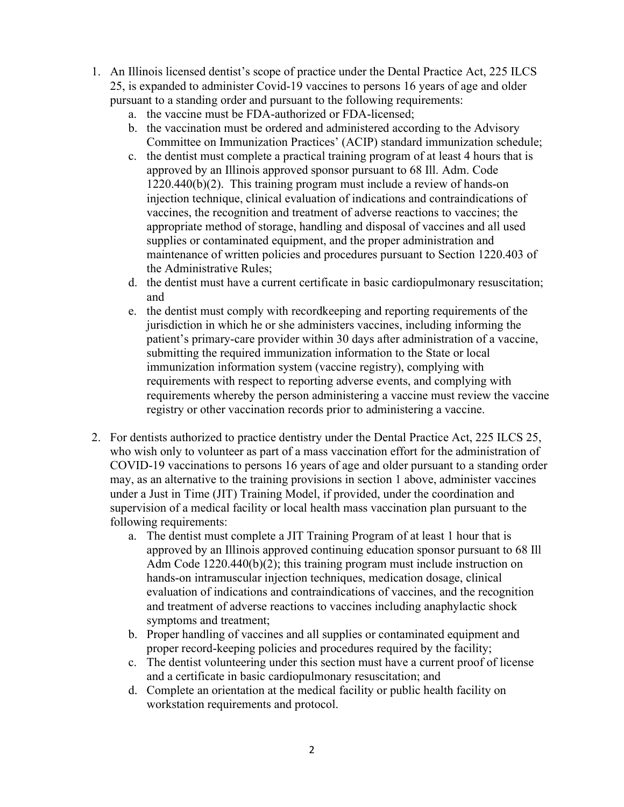- 1. An Illinois licensed dentist's scope of practice under the Dental Practice Act, 225 ILCS 25, is expanded to administer Covid-19 vaccines to persons 16 years of age and older pursuant to a standing order and pursuant to the following requirements:
	- a. the vaccine must be FDA-authorized or FDA-licensed;
	- b. the vaccination must be ordered and administered according to the Advisory Committee on Immunization Practices' (ACIP) standard immunization schedule;
	- c. the dentist must complete a practical training program of at least 4 hours that is approved by an Illinois approved sponsor pursuant to 68 Ill. Adm. Code 1220.440(b)(2). This training program must include a review of hands-on injection technique, clinical evaluation of indications and contraindications of vaccines, the recognition and treatment of adverse reactions to vaccines; the appropriate method of storage, handling and disposal of vaccines and all used supplies or contaminated equipment, and the proper administration and maintenance of written policies and procedures pursuant to Section 1220.403 of the Administrative Rules;
	- d. the dentist must have a current certificate in basic cardiopulmonary resuscitation; and
	- e. the dentist must comply with recordkeeping and reporting requirements of the jurisdiction in which he or she administers vaccines, including informing the patient's primary-care provider within 30 days after administration of a vaccine, submitting the required immunization information to the State or local immunization information system (vaccine registry), complying with requirements with respect to reporting adverse events, and complying with requirements whereby the person administering a vaccine must review the vaccine registry or other vaccination records prior to administering a vaccine.
- 2. For dentists authorized to practice dentistry under the Dental Practice Act, 225 ILCS 25, who wish only to volunteer as part of a mass vaccination effort for the administration of COVID-19 vaccinations to persons 16 years of age and older pursuant to a standing order may, as an alternative to the training provisions in section 1 above, administer vaccines under a Just in Time (JIT) Training Model, if provided, under the coordination and supervision of a medical facility or local health mass vaccination plan pursuant to the following requirements:
	- a. The dentist must complete a JIT Training Program of at least 1 hour that is approved by an Illinois approved continuing education sponsor pursuant to 68 Ill Adm Code 1220.440(b)(2); this training program must include instruction on hands-on intramuscular injection techniques, medication dosage, clinical evaluation of indications and contraindications of vaccines, and the recognition and treatment of adverse reactions to vaccines including anaphylactic shock symptoms and treatment;
	- b. Proper handling of vaccines and all supplies or contaminated equipment and proper record-keeping policies and procedures required by the facility;
	- c. The dentist volunteering under this section must have a current proof of license and a certificate in basic cardiopulmonary resuscitation; and
	- d. Complete an orientation at the medical facility or public health facility on workstation requirements and protocol.